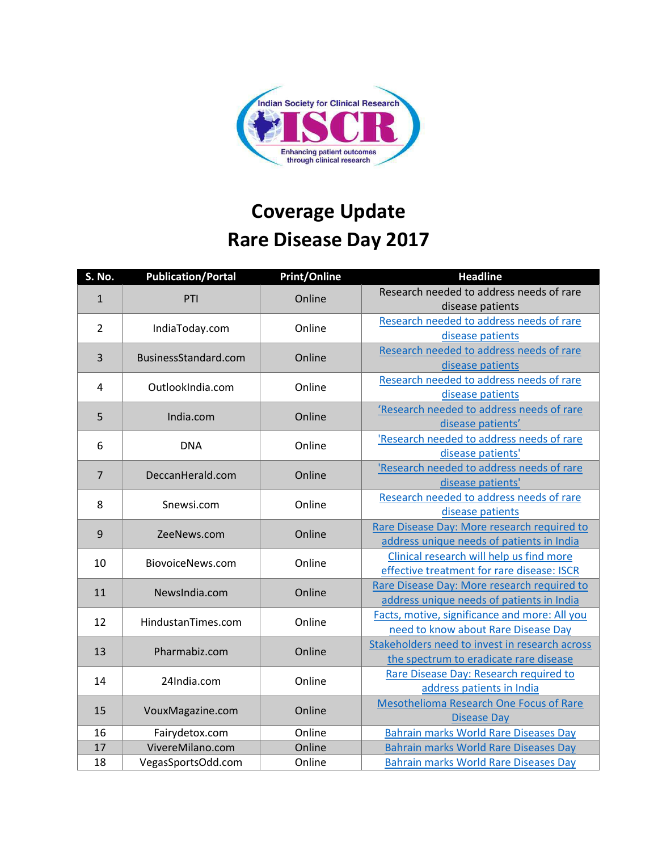

## **Coverage Update Rare Disease Day 2017**

| S. No.         | <b>Publication/Portal</b> | <b>Print/Online</b> | <b>Headline</b>                                                                          |
|----------------|---------------------------|---------------------|------------------------------------------------------------------------------------------|
| $\mathbf 1$    | PTI                       | Online              | Research needed to address needs of rare<br>disease patients                             |
| $\overline{2}$ | IndiaToday.com            | Online              | Research needed to address needs of rare<br>disease patients                             |
| 3              | BusinessStandard.com      | Online              | Research needed to address needs of rare<br>disease patients                             |
| 4              | OutlookIndia.com          | Online              | Research needed to address needs of rare<br>disease patients                             |
| 5              | India.com                 | Online              | 'Research needed to address needs of rare<br>disease patients'                           |
| 6              | <b>DNA</b>                | Online              | 'Research needed to address needs of rare<br>disease patients'                           |
| $\overline{7}$ | DeccanHerald.com          | Online              | 'Research needed to address needs of rare<br>disease patients'                           |
| 8              | Snewsi.com                | Online              | Research needed to address needs of rare<br>disease patients                             |
| 9              | ZeeNews.com               | Online              | Rare Disease Day: More research required to<br>address unique needs of patients in India |
| 10             | BiovoiceNews.com          | Online              | Clinical research will help us find more<br>effective treatment for rare disease: ISCR   |
| 11             | NewsIndia.com             | Online              | Rare Disease Day: More research required to<br>address unique needs of patients in India |
| 12             | HindustanTimes.com        | Online              | Facts, motive, significance and more: All you<br>need to know about Rare Disease Day     |
| 13             | Pharmabiz.com             | Online              | Stakeholders need to invest in research across<br>the spectrum to eradicate rare disease |
| 14             | 24India.com               | Online              | Rare Disease Day: Research required to<br>address patients in India                      |
| 15             | VouxMagazine.com          | Online              | <b>Mesothelioma Research One Focus of Rare</b><br><b>Disease Day</b>                     |
| 16             | Fairydetox.com            | Online              | <b>Bahrain marks World Rare Diseases Day</b>                                             |
| 17             | VivereMilano.com          | Online              | <b>Bahrain marks World Rare Diseases Day</b>                                             |
| 18             | VegasSportsOdd.com        | Online              | <b>Bahrain marks World Rare Diseases Day</b>                                             |